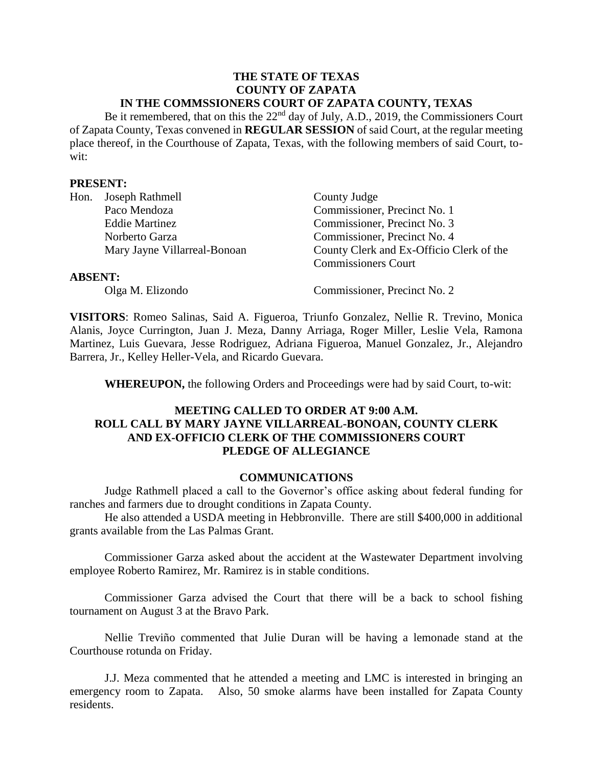#### **THE STATE OF TEXAS COUNTY OF ZAPATA IN THE COMMSSIONERS COURT OF ZAPATA COUNTY, TEXAS**

Be it remembered, that on this the  $22<sup>nd</sup>$  day of July, A.D., 2019, the Commissioners Court of Zapata County, Texas convened in **REGULAR SESSION** of said Court, at the regular meeting place thereof, in the Courthouse of Zapata, Texas, with the following members of said Court, towit:

#### **PRESENT:**

| Hon.           | Joseph Rathmell              | County Judge                             |
|----------------|------------------------------|------------------------------------------|
|                | Paco Mendoza                 | Commissioner, Precinct No. 1             |
|                | <b>Eddie Martinez</b>        | Commissioner, Precinct No. 3             |
|                | Norberto Garza               | Commissioner, Precinct No. 4             |
|                | Mary Jayne Villarreal-Bonoan | County Clerk and Ex-Officio Clerk of the |
|                |                              | <b>Commissioners Court</b>               |
| <b>ABSENT:</b> |                              |                                          |
|                | Olga M. Elizondo             | Commissioner, Precinct No. 2             |

**VISITORS**: Romeo Salinas, Said A. Figueroa, Triunfo Gonzalez, Nellie R. Trevino, Monica Alanis, Joyce Currington, Juan J. Meza, Danny Arriaga, Roger Miller, Leslie Vela, Ramona Martinez, Luis Guevara, Jesse Rodriguez, Adriana Figueroa, Manuel Gonzalez, Jr., Alejandro Barrera, Jr., Kelley Heller-Vela, and Ricardo Guevara.

**WHEREUPON,** the following Orders and Proceedings were had by said Court, to-wit:

## **MEETING CALLED TO ORDER AT 9:00 A.M. ROLL CALL BY MARY JAYNE VILLARREAL-BONOAN, COUNTY CLERK AND EX-OFFICIO CLERK OF THE COMMISSIONERS COURT PLEDGE OF ALLEGIANCE**

#### **COMMUNICATIONS**

Judge Rathmell placed a call to the Governor's office asking about federal funding for ranches and farmers due to drought conditions in Zapata County.

He also attended a USDA meeting in Hebbronville. There are still \$400,000 in additional grants available from the Las Palmas Grant.

Commissioner Garza asked about the accident at the Wastewater Department involving employee Roberto Ramirez, Mr. Ramirez is in stable conditions.

Commissioner Garza advised the Court that there will be a back to school fishing tournament on August 3 at the Bravo Park.

Nellie Treviño commented that Julie Duran will be having a lemonade stand at the Courthouse rotunda on Friday.

J.J. Meza commented that he attended a meeting and LMC is interested in bringing an emergency room to Zapata. Also, 50 smoke alarms have been installed for Zapata County residents.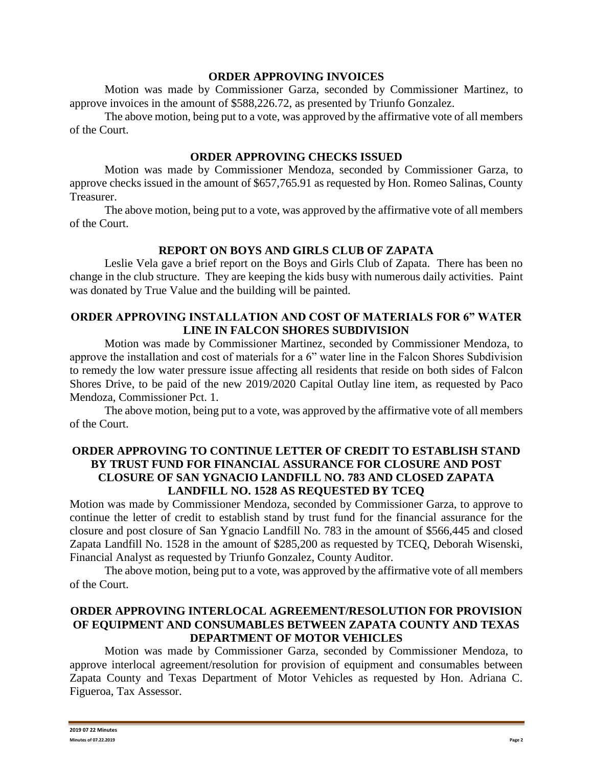#### **ORDER APPROVING INVOICES**

Motion was made by Commissioner Garza, seconded by Commissioner Martinez, to approve invoices in the amount of \$588,226.72, as presented by Triunfo Gonzalez.

The above motion, being put to a vote, was approved by the affirmative vote of all members of the Court.

## **ORDER APPROVING CHECKS ISSUED**

Motion was made by Commissioner Mendoza, seconded by Commissioner Garza, to approve checks issued in the amount of \$657,765.91 as requested by Hon. Romeo Salinas, County Treasurer.

The above motion, being put to a vote, was approved by the affirmative vote of all members of the Court.

# **REPORT ON BOYS AND GIRLS CLUB OF ZAPATA**

Leslie Vela gave a brief report on the Boys and Girls Club of Zapata. There has been no change in the club structure. They are keeping the kids busy with numerous daily activities. Paint was donated by True Value and the building will be painted.

## **ORDER APPROVING INSTALLATION AND COST OF MATERIALS FOR 6" WATER LINE IN FALCON SHORES SUBDIVISION**

Motion was made by Commissioner Martinez, seconded by Commissioner Mendoza, to approve the installation and cost of materials for a 6" water line in the Falcon Shores Subdivision to remedy the low water pressure issue affecting all residents that reside on both sides of Falcon Shores Drive, to be paid of the new 2019/2020 Capital Outlay line item, as requested by Paco Mendoza, Commissioner Pct. 1.

The above motion, being put to a vote, was approved by the affirmative vote of all members of the Court.

## **ORDER APPROVING TO CONTINUE LETTER OF CREDIT TO ESTABLISH STAND BY TRUST FUND FOR FINANCIAL ASSURANCE FOR CLOSURE AND POST CLOSURE OF SAN YGNACIO LANDFILL NO. 783 AND CLOSED ZAPATA LANDFILL NO. 1528 AS REQUESTED BY TCEQ**

Motion was made by Commissioner Mendoza, seconded by Commissioner Garza, to approve to continue the letter of credit to establish stand by trust fund for the financial assurance for the closure and post closure of San Ygnacio Landfill No. 783 in the amount of \$566,445 and closed Zapata Landfill No. 1528 in the amount of \$285,200 as requested by TCEQ, Deborah Wisenski, Financial Analyst as requested by Triunfo Gonzalez, County Auditor.

The above motion, being put to a vote, was approved by the affirmative vote of all members of the Court.

# **ORDER APPROVING INTERLOCAL AGREEMENT/RESOLUTION FOR PROVISION OF EQUIPMENT AND CONSUMABLES BETWEEN ZAPATA COUNTY AND TEXAS DEPARTMENT OF MOTOR VEHICLES**

Motion was made by Commissioner Garza, seconded by Commissioner Mendoza, to approve interlocal agreement/resolution for provision of equipment and consumables between Zapata County and Texas Department of Motor Vehicles as requested by Hon. Adriana C. Figueroa, Tax Assessor.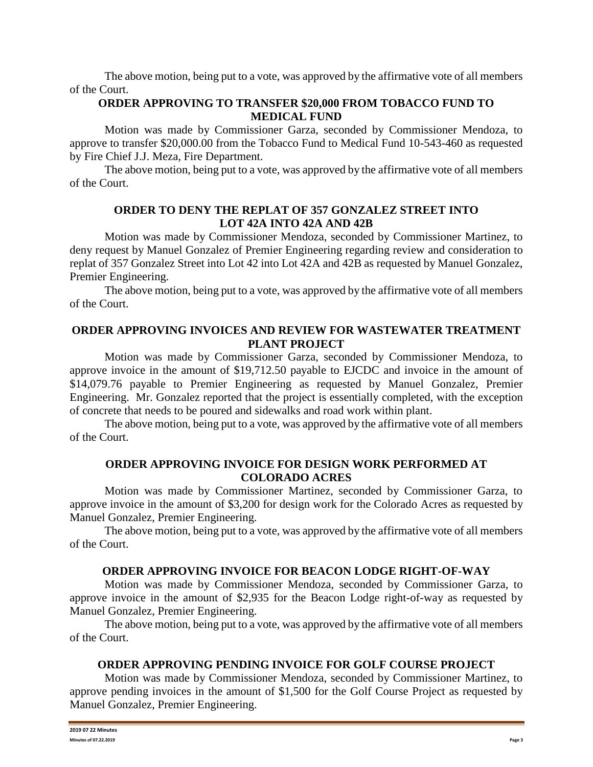The above motion, being put to a vote, was approved by the affirmative vote of all members of the Court.

## **ORDER APPROVING TO TRANSFER \$20,000 FROM TOBACCO FUND TO MEDICAL FUND**

Motion was made by Commissioner Garza, seconded by Commissioner Mendoza, to approve to transfer \$20,000.00 from the Tobacco Fund to Medical Fund 10-543-460 as requested by Fire Chief J.J. Meza, Fire Department.

The above motion, being put to a vote, was approved by the affirmative vote of all members of the Court.

## **ORDER TO DENY THE REPLAT OF 357 GONZALEZ STREET INTO LOT 42A INTO 42A AND 42B**

Motion was made by Commissioner Mendoza, seconded by Commissioner Martinez, to deny request by Manuel Gonzalez of Premier Engineering regarding review and consideration to replat of 357 Gonzalez Street into Lot 42 into Lot 42A and 42B as requested by Manuel Gonzalez, Premier Engineering.

The above motion, being put to a vote, was approved by the affirmative vote of all members of the Court.

# **ORDER APPROVING INVOICES AND REVIEW FOR WASTEWATER TREATMENT PLANT PROJECT**

Motion was made by Commissioner Garza, seconded by Commissioner Mendoza, to approve invoice in the amount of \$19,712.50 payable to EJCDC and invoice in the amount of \$14,079.76 payable to Premier Engineering as requested by Manuel Gonzalez, Premier Engineering. Mr. Gonzalez reported that the project is essentially completed, with the exception of concrete that needs to be poured and sidewalks and road work within plant.

The above motion, being put to a vote, was approved by the affirmative vote of all members of the Court.

# **ORDER APPROVING INVOICE FOR DESIGN WORK PERFORMED AT COLORADO ACRES**

Motion was made by Commissioner Martinez, seconded by Commissioner Garza, to approve invoice in the amount of \$3,200 for design work for the Colorado Acres as requested by Manuel Gonzalez, Premier Engineering.

The above motion, being put to a vote, was approved by the affirmative vote of all members of the Court.

# **ORDER APPROVING INVOICE FOR BEACON LODGE RIGHT-OF-WAY**

Motion was made by Commissioner Mendoza, seconded by Commissioner Garza, to approve invoice in the amount of \$2,935 for the Beacon Lodge right-of-way as requested by Manuel Gonzalez, Premier Engineering.

The above motion, being put to a vote, was approved by the affirmative vote of all members of the Court.

# **ORDER APPROVING PENDING INVOICE FOR GOLF COURSE PROJECT**

Motion was made by Commissioner Mendoza, seconded by Commissioner Martinez, to approve pending invoices in the amount of \$1,500 for the Golf Course Project as requested by Manuel Gonzalez, Premier Engineering.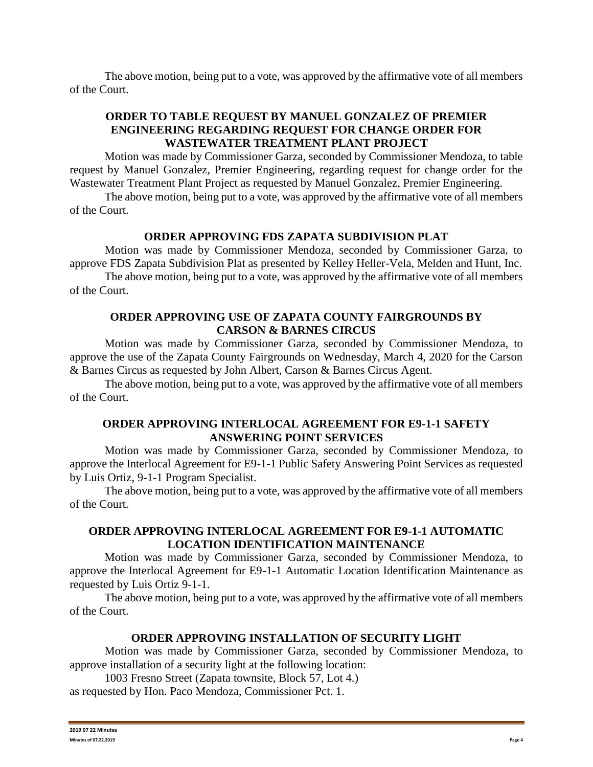The above motion, being put to a vote, was approved by the affirmative vote of all members of the Court.

## **ORDER TO TABLE REQUEST BY MANUEL GONZALEZ OF PREMIER ENGINEERING REGARDING REQUEST FOR CHANGE ORDER FOR WASTEWATER TREATMENT PLANT PROJECT**

Motion was made by Commissioner Garza, seconded by Commissioner Mendoza, to table request by Manuel Gonzalez, Premier Engineering, regarding request for change order for the Wastewater Treatment Plant Project as requested by Manuel Gonzalez, Premier Engineering.

The above motion, being put to a vote, was approved by the affirmative vote of all members of the Court.

## **ORDER APPROVING FDS ZAPATA SUBDIVISION PLAT**

Motion was made by Commissioner Mendoza, seconded by Commissioner Garza, to approve FDS Zapata Subdivision Plat as presented by Kelley Heller-Vela, Melden and Hunt, Inc.

The above motion, being put to a vote, was approved by the affirmative vote of all members of the Court.

## **ORDER APPROVING USE OF ZAPATA COUNTY FAIRGROUNDS BY CARSON & BARNES CIRCUS**

Motion was made by Commissioner Garza, seconded by Commissioner Mendoza, to approve the use of the Zapata County Fairgrounds on Wednesday, March 4, 2020 for the Carson & Barnes Circus as requested by John Albert, Carson & Barnes Circus Agent.

The above motion, being put to a vote, was approved by the affirmative vote of all members of the Court.

## **ORDER APPROVING INTERLOCAL AGREEMENT FOR E9-1-1 SAFETY ANSWERING POINT SERVICES**

Motion was made by Commissioner Garza, seconded by Commissioner Mendoza, to approve the Interlocal Agreement for E9-1-1 Public Safety Answering Point Services as requested by Luis Ortiz, 9-1-1 Program Specialist.

The above motion, being put to a vote, was approved by the affirmative vote of all members of the Court.

## **ORDER APPROVING INTERLOCAL AGREEMENT FOR E9-1-1 AUTOMATIC LOCATION IDENTIFICATION MAINTENANCE**

Motion was made by Commissioner Garza, seconded by Commissioner Mendoza, to approve the Interlocal Agreement for E9-1-1 Automatic Location Identification Maintenance as requested by Luis Ortiz 9-1-1.

The above motion, being put to a vote, was approved by the affirmative vote of all members of the Court.

### **ORDER APPROVING INSTALLATION OF SECURITY LIGHT**

Motion was made by Commissioner Garza, seconded by Commissioner Mendoza, to approve installation of a security light at the following location:

1003 Fresno Street (Zapata townsite, Block 57, Lot 4.) as requested by Hon. Paco Mendoza, Commissioner Pct. 1.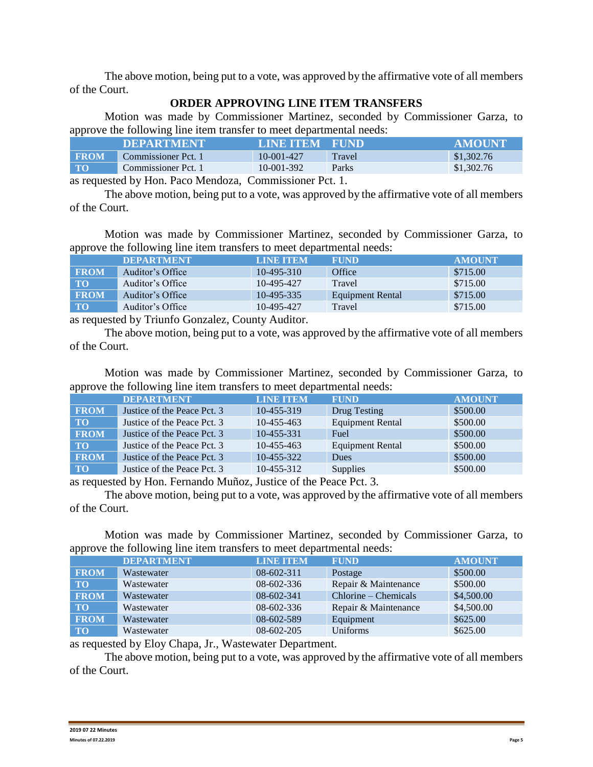The above motion, being put to a vote, was approved by the affirmative vote of all members of the Court.

### **ORDER APPROVING LINE ITEM TRANSFERS**

Motion was made by Commissioner Martinez, seconded by Commissioner Garza, to approve the following line item transfer to meet departmental needs:

|             | <b>DEPARTMENT</b>   | <b>LINE ITEM</b> | <b>FUND</b> | <b>AMOUNT</b> |
|-------------|---------------------|------------------|-------------|---------------|
| <b>FROM</b> | Commissioner Pct. 1 | $10-001-427$     | Travel      | \$1,302.76    |
| <b>TO</b>   | Commissioner Pct. 1 | 10-001-392       | Parks       | \$1,302.76    |

as requested by Hon. Paco Mendoza, Commissioner Pct. 1.

The above motion, being put to a vote, was approved by the affirmative vote of all members of the Court.

Motion was made by Commissioner Martinez, seconded by Commissioner Garza, to approve the following line item transfers to meet departmental needs:

|             | <b>IDEPARTMENT</b>          | <b>TAINE ITEM</b> | <b>FUND</b>      | <b>AMOUNT</b> |
|-------------|-----------------------------|-------------------|------------------|---------------|
| <b>FROM</b> | Auditor's Office            | $10-495-310$      | Office           | \$715.00      |
| <b>TO</b>   | Auditor's Office            | 10-495-427        | Travel           | \$715.00      |
| <b>FROM</b> | Auditor's Office            | 10-495-335        | Equipment Rental | \$715.00      |
| <b>TO</b>   | Auditor's Office            | 10-495-427        | Travel           | \$715.00      |
|             | $\sim$ 11 m $\sim$ 0 $\sim$ |                   |                  |               |

as requested by Triunfo Gonzalez, County Auditor.

The above motion, being put to a vote, was approved by the affirmative vote of all members of the Court.

Motion was made by Commissioner Martinez, seconded by Commissioner Garza, to approve the following line item transfers to meet departmental needs:

|             | <b>DEPARTMENT</b>           | <b>LINE ITEM</b> | <b>FUND</b>             | <b>AMOUNT</b> |
|-------------|-----------------------------|------------------|-------------------------|---------------|
| <b>FROM</b> | Justice of the Peace Pct. 3 | 10-455-319       | Drug Testing            | \$500.00      |
| <b>TO</b>   | Justice of the Peace Pct. 3 | $10-455-463$     | <b>Equipment Rental</b> | \$500.00      |
| <b>FROM</b> | Justice of the Peace Pct. 3 | 10-455-331       | Fuel                    | \$500.00      |
| <b>TO</b>   | Justice of the Peace Pct. 3 | 10-455-463       | Equipment Rental        | \$500.00      |
| <b>FROM</b> | Justice of the Peace Pct. 3 | 10-455-322       | <b>Dues</b>             | \$500.00      |
| <b>TO</b>   | Justice of the Peace Pct. 3 | $10-455-312$     | <b>Supplies</b>         | \$500.00      |

as requested by Hon. Fernando Muñoz, Justice of the Peace Pct. 3.

The above motion, being put to a vote, was approved by the affirmative vote of all members of the Court.

Motion was made by Commissioner Martinez, seconded by Commissioner Garza, to approve the following line item transfers to meet departmental needs:

|             | <b>DEPARTMENT</b> | <b>LINE ITEM</b> | <b>FUND</b>          | <b>AMOUNT</b> |
|-------------|-------------------|------------------|----------------------|---------------|
| <b>FROM</b> | Wastewater        | $08-602-311$     | Postage              | \$500.00      |
| <b>TO</b>   | Wastewater        | 08-602-336       | Repair & Maintenance | \$500.00      |
| <b>FROM</b> | Wastewater        | 08-602-341       | $Chlorine-Chemicals$ | \$4,500.00    |
| <b>TO</b>   | Wastewater        | 08-602-336       | Repair & Maintenance | \$4,500.00    |
| <b>FROM</b> | Wastewater        | 08-602-589       | Equipment            | \$625.00      |
| <b>TO</b>   | Wastewater        | 08-602-205       | Uniforms             | \$625.00      |

as requested by Eloy Chapa, Jr., Wastewater Department.

The above motion, being put to a vote, was approved by the affirmative vote of all members of the Court.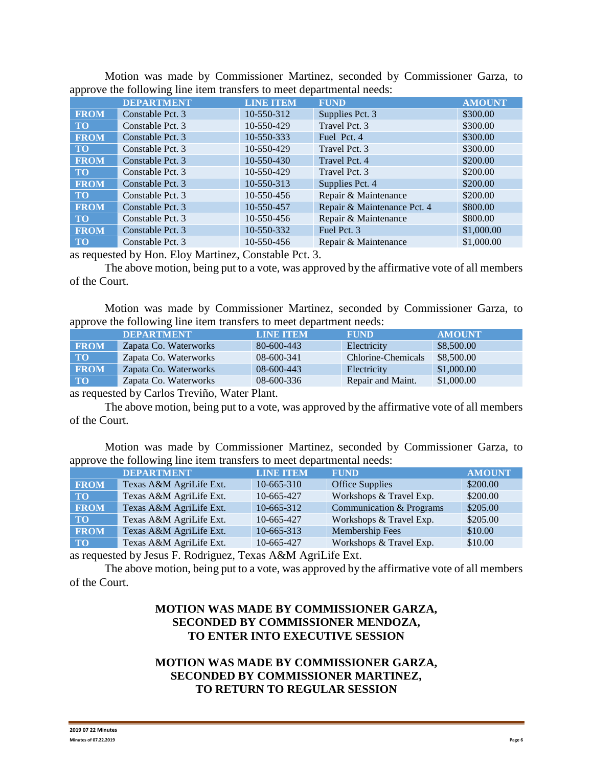|             | <b>DEPARTMENT</b> | <b>LINE ITEM</b> | <b>FUND</b>                 | <b>AMOUNT</b> |
|-------------|-------------------|------------------|-----------------------------|---------------|
| <b>FROM</b> | Constable Pct. 3  | 10-550-312       | Supplies Pct. 3             | \$300.00      |
| <b>TO</b>   | Constable Pct. 3  | 10-550-429       | Travel Pct. 3               | \$300.00      |
| <b>FROM</b> | Constable Pct. 3  | 10-550-333       | Fuel Pct. 4                 | \$300.00      |
| <b>TO</b>   | Constable Pct. 3  | 10-550-429       | Travel Pct. 3               | \$300.00      |
| <b>FROM</b> | Constable Pct. 3  | 10-550-430       | Travel Pct. 4               | \$200.00      |
| <b>TO</b>   | Constable Pct. 3  | 10-550-429       | Travel Pct. 3               | \$200.00      |
| <b>FROM</b> | Constable Pct. 3  | 10-550-313       | Supplies Pct. 4             | \$200.00      |
| <b>TO</b>   | Constable Pct. 3  | 10-550-456       | Repair & Maintenance        | \$200.00      |
| <b>FROM</b> | Constable Pct. 3  | 10-550-457       | Repair & Maintenance Pct. 4 | \$800.00      |
| <b>TO</b>   | Constable Pct. 3  | 10-550-456       | Repair & Maintenance        | \$800.00      |
| <b>FROM</b> | Constable Pct. 3  | 10-550-332       | Fuel Pct. 3                 | \$1,000.00    |
| <b>TO</b>   | Constable Pct. 3  | 10-550-456       | Repair & Maintenance        | \$1,000.00    |

Motion was made by Commissioner Martinez, seconded by Commissioner Garza, to approve the following line item transfers to meet departmental needs:

as requested by Hon. Eloy Martinez, Constable Pct. 3.

The above motion, being put to a vote, was approved by the affirmative vote of all members of the Court.

Motion was made by Commissioner Martinez, seconded by Commissioner Garza, to approve the following line item transfers to meet department needs:

|             | <b>DEPARTMENT</b>     | <b>LINE ITEM</b> | FUND               | <b>AMOUNT</b> |
|-------------|-----------------------|------------------|--------------------|---------------|
| <b>FROM</b> | Zapata Co. Waterworks | 80-600-443       | Electricity        | \$8,500.00    |
| <b>TO</b>   | Zapata Co. Waterworks | 08-600-341       | Chlorine-Chemicals | \$8,500.00    |
| <b>FROM</b> | Zapata Co. Waterworks | 08-600-443       | Electricity        | \$1,000.00    |
| $\bf TO$    | Zapata Co. Waterworks | 08-600-336       | Repair and Maint.  | \$1,000.00    |

as requested by Carlos Treviño, Water Plant.

The above motion, being put to a vote, was approved by the affirmative vote of all members of the Court.

Motion was made by Commissioner Martinez, seconded by Commissioner Garza, to approve the following line item transfers to meet departmental needs:

|             | <b>DEPARTMENT</b>       | <b>LINE ITEM</b> | <b>FUND</b>              | <b>AMOUNT</b> |
|-------------|-------------------------|------------------|--------------------------|---------------|
| <b>FROM</b> | Texas A&M AgriLife Ext. | $10-665-310$     | <b>Office Supplies</b>   | \$200.00      |
| <b>TO</b>   | Texas A&M AgriLife Ext. | 10-665-427       | Workshops & Travel Exp.  | \$200.00      |
| <b>FROM</b> | Texas A&M AgriLife Ext. | 10-665-312       | Communication & Programs | \$205.00      |
| <b>TO</b>   | Texas A&M AgriLife Ext. | 10-665-427       | Workshops & Travel Exp.  | \$205.00      |
| <b>FROM</b> | Texas A&M AgriLife Ext. | 10-665-313       | Membership Fees          | \$10.00       |
| <b>TO</b>   | Texas A&M AgriLife Ext. | 10-665-427       | Workshops & Travel Exp.  | \$10.00       |

as requested by Jesus F. Rodriguez, Texas A&M AgriLife Ext.

The above motion, being put to a vote, was approved by the affirmative vote of all members of the Court.

# **MOTION WAS MADE BY COMMISSIONER GARZA, SECONDED BY COMMISSIONER MENDOZA, TO ENTER INTO EXECUTIVE SESSION**

# **MOTION WAS MADE BY COMMISSIONER GARZA, SECONDED BY COMMISSIONER MARTINEZ, TO RETURN TO REGULAR SESSION**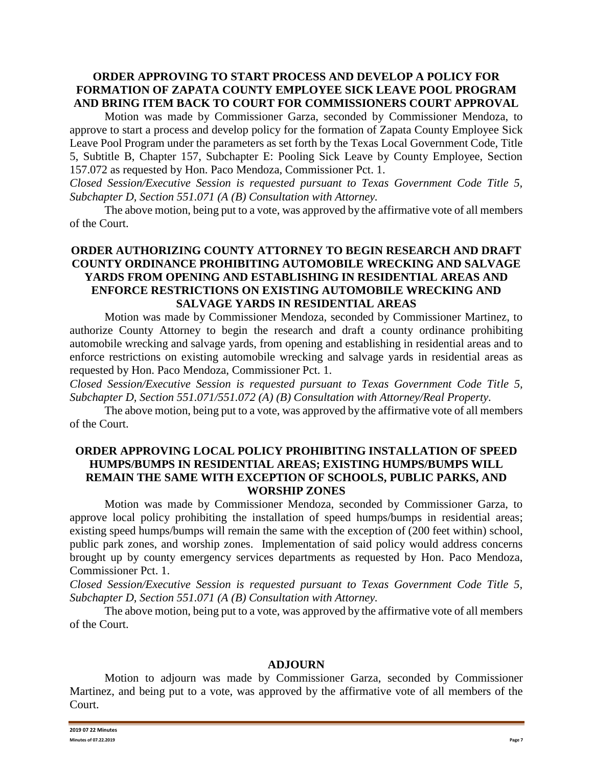### **ORDER APPROVING TO START PROCESS AND DEVELOP A POLICY FOR FORMATION OF ZAPATA COUNTY EMPLOYEE SICK LEAVE POOL PROGRAM AND BRING ITEM BACK TO COURT FOR COMMISSIONERS COURT APPROVAL**

Motion was made by Commissioner Garza, seconded by Commissioner Mendoza, to approve to start a process and develop policy for the formation of Zapata County Employee Sick Leave Pool Program under the parameters as set forth by the Texas Local Government Code, Title 5, Subtitle B, Chapter 157, Subchapter E: Pooling Sick Leave by County Employee, Section 157.072 as requested by Hon. Paco Mendoza, Commissioner Pct. 1.

*Closed Session/Executive Session is requested pursuant to Texas Government Code Title 5, Subchapter D, Section 551.071 (A (B) Consultation with Attorney.*

The above motion, being put to a vote, was approved by the affirmative vote of all members of the Court.

## **ORDER AUTHORIZING COUNTY ATTORNEY TO BEGIN RESEARCH AND DRAFT COUNTY ORDINANCE PROHIBITING AUTOMOBILE WRECKING AND SALVAGE YARDS FROM OPENING AND ESTABLISHING IN RESIDENTIAL AREAS AND ENFORCE RESTRICTIONS ON EXISTING AUTOMOBILE WRECKING AND SALVAGE YARDS IN RESIDENTIAL AREAS**

Motion was made by Commissioner Mendoza, seconded by Commissioner Martinez, to authorize County Attorney to begin the research and draft a county ordinance prohibiting automobile wrecking and salvage yards, from opening and establishing in residential areas and to enforce restrictions on existing automobile wrecking and salvage yards in residential areas as requested by Hon. Paco Mendoza, Commissioner Pct. 1.

*Closed Session/Executive Session is requested pursuant to Texas Government Code Title 5, Subchapter D, Section 551.071/551.072 (A) (B) Consultation with Attorney/Real Property.*

The above motion, being put to a vote, was approved by the affirmative vote of all members of the Court.

### **ORDER APPROVING LOCAL POLICY PROHIBITING INSTALLATION OF SPEED HUMPS/BUMPS IN RESIDENTIAL AREAS; EXISTING HUMPS/BUMPS WILL REMAIN THE SAME WITH EXCEPTION OF SCHOOLS, PUBLIC PARKS, AND WORSHIP ZONES**

Motion was made by Commissioner Mendoza, seconded by Commissioner Garza, to approve local policy prohibiting the installation of speed humps/bumps in residential areas; existing speed humps/bumps will remain the same with the exception of (200 feet within) school, public park zones, and worship zones. Implementation of said policy would address concerns brought up by county emergency services departments as requested by Hon. Paco Mendoza, Commissioner Pct. 1.

*Closed Session/Executive Session is requested pursuant to Texas Government Code Title 5, Subchapter D, Section 551.071 (A (B) Consultation with Attorney.*

The above motion, being put to a vote, was approved by the affirmative vote of all members of the Court.

#### **ADJOURN**

Motion to adjourn was made by Commissioner Garza, seconded by Commissioner Martinez, and being put to a vote, was approved by the affirmative vote of all members of the Court.